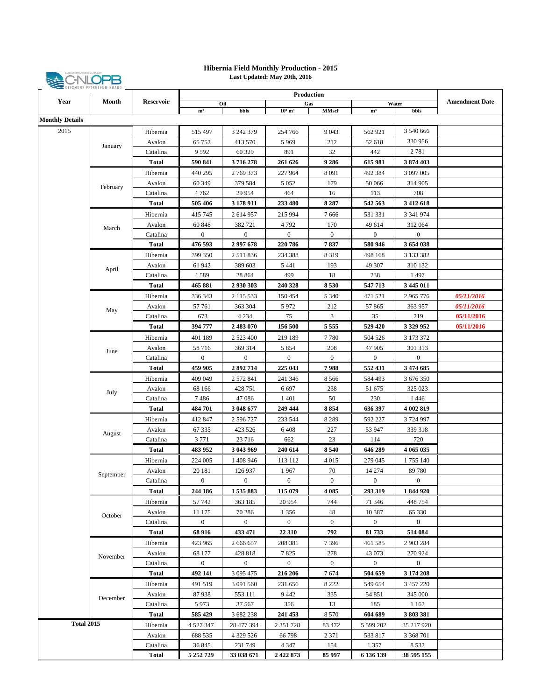

## **Last Updated: May 20th, 2016 Hibernia Field Monthly Production - 2015**

| Year                   | TUITURE TEINUECUM DUANU<br>Month | <b>Reservoir</b>         | <b>Production</b>   |                       |                       |                  |                      |                       |                       |
|------------------------|----------------------------------|--------------------------|---------------------|-----------------------|-----------------------|------------------|----------------------|-----------------------|-----------------------|
|                        |                                  |                          |                     | Oil                   |                       | Gas              |                      | Water                 | <b>Amendment Date</b> |
| <b>Monthly Details</b> |                                  |                          | m <sup>3</sup>      | bbls                  | $10^3$ m <sup>3</sup> | <b>MMscf</b>     | m <sup>3</sup>       | bbls                  |                       |
|                        |                                  |                          |                     |                       |                       |                  |                      |                       |                       |
| 2015                   | January                          | Hibernia                 | 515 497             | 3 242 379             | 254 766               | 9043             | 562 921              | 3 540 666             |                       |
|                        |                                  | Avalon                   | 65 752              | 413 570               | 5969                  | 212              | 52 618               | 330 956               |                       |
|                        |                                  | Catalina                 | 9592                | 60 329                | 891                   | 32               | 442                  | 2781                  |                       |
|                        |                                  | Total                    | 590 841             | 3716278               | 261 626               | 9286             | 615 981              | 3874403               |                       |
|                        | February                         | Hibernia                 | 440 295             | 2 769 373             | 227 964               | 8091             | 492 384              | 3 097 005             |                       |
|                        |                                  | Avalon                   | 60 349              | 379 584               | 5 0 5 2               | 179              | 50 066               | 314 905               |                       |
|                        |                                  | Catalina                 | 4 7 6 2             | 29 9 54               | 464                   | 16               | 113                  | 708                   |                       |
|                        |                                  | <b>Total</b>             | 505 406             | 3 178 911             | 233 480               | 8 2 8 7          | 542 563              | 3 4 1 2 6 1 8         |                       |
|                        | March                            | Hibernia                 | 415 745             | 2 614 957             | 215 994               | 7666             | 531 331              | 3 341 974             |                       |
|                        |                                  | Avalon                   | 60 848              | 382 721               | 4792                  | 170              | 49 614               | 312 064               |                       |
|                        |                                  | Catalina                 | $\mathbf{0}$        | $\boldsymbol{0}$      | $\boldsymbol{0}$      | $\mathbf{0}$     | $\overline{0}$       | $\overline{0}$        |                       |
|                        |                                  | <b>Total</b>             | 476 593             | 2997678               | 220 786               | 7837             | 580 946              | 3654038               |                       |
|                        | April                            | Hibernia                 | 399 350             | 2511836               | 234 388               | 8 3 1 9          | 498 168              | 3 133 382             |                       |
|                        |                                  | Avalon                   | 61 942              | 389 603               | 5 4 4 1               | 193              | 49 307               | 310 132               |                       |
|                        |                                  | Catalina                 | 4589                | 28 864                | 499                   | 18               | 238                  | 1497                  |                       |
|                        |                                  | <b>Total</b>             | 465 881             | 2930303               | 240 328               | 8530             | 547 713              | 3 445 011             |                       |
|                        | May                              | Hibernia                 | 336 343             | 2 115 533             | 150 454               | 5 3 4 0          | 471 521              | 2965776               | 05/11/2016            |
|                        |                                  | Avalon                   | 57 761              | 363 304               | 5972                  | 212              | 57 865               | 363 957               | 05/11/2016            |
|                        |                                  | Catalina                 | 673                 | 4 2 3 4               | 75                    | 3                | 35                   | 219                   | 05/11/2016            |
|                        |                                  | Total                    | 394 777             | 2483070               | 156 500               | 5555             | 529 420              | 3 3 29 9 5 2          | 05/11/2016            |
|                        | June                             | Hibernia                 | 401 189             | 2 5 2 3 4 0 0         | 219 189               | 7780             | 504 526              | 3 173 372             |                       |
|                        |                                  | Avalon                   | 58716               | 369 314               | 5 8 5 4               | 208              | 47 905               | 301 313               |                       |
|                        |                                  | Catalina                 | $\boldsymbol{0}$    | $\mathbf{0}$          | $\boldsymbol{0}$      | $\mathbf{0}$     | $\overline{0}$       | $\bf{0}$              |                       |
|                        |                                  | <b>Total</b>             | 459 905             | 2892714               | 225 043               | 7988             | 552 431              | 3 474 685             |                       |
|                        | July                             | Hibernia                 | 409 049             | 2 572 841             | 241 346               | 8566             | 584 493              | 3 676 350             |                       |
|                        |                                  | Avalon                   | 68 166              | 428 751               | 6 6 9 7               | 238              | 51 675               | 325 023               |                       |
|                        |                                  | Catalina                 | 7486                | 47086                 | 1401                  | 50               | 230                  | 1446                  |                       |
|                        |                                  | Total                    | 484 701             | 3 048 677             | 249 444               | 8854             | 636 397              | 4 002 819             |                       |
|                        | August                           | Hibernia                 | 412 847             | 2 596 727             | 233 544               | 8 2 8 9          | 592 227              | 3724997               |                       |
|                        |                                  | Avalon                   | 67 335              | 423 526               | 6408                  | 227              | 53 947               | 339 318               |                       |
|                        |                                  | Catalina                 | 3771                | 23716                 | 662                   | 23               | 114                  | 720                   |                       |
|                        |                                  | Total                    | 483 952             | 3 043 969             | 240 614               | 8540             | 646 289              | 4 065 035             |                       |
|                        | September                        | Hibernia                 | 224 005             | 1 408 946             | 113 112               | 4 0 1 5          | 279 045              | 1755 140              |                       |
|                        |                                  | Avalon                   | 20 18 1             | 126 937               | 1967                  | 70               | 14 274               | 89780                 |                       |
|                        |                                  | Catalina                 | $\boldsymbol{0}$    | $\boldsymbol{0}$      | $\boldsymbol{0}$      | $\mathbf{0}$     | $\mathbf{0}$         | $\bf{0}$              |                       |
|                        |                                  | <b>Total</b>             | 244 186             | 1535883               | 115 079               | 4 0 8 5          | 293 319              | 1844920               |                       |
|                        | October                          | Hibernia                 | 57 742              | 363 185               | 20 954                | 744              | 71 346               | 448 754               |                       |
|                        |                                  | Avalon                   | 11 175              | 70 286                | 1 3 5 6               | 48               | 10 3 87              | 65 330                |                       |
|                        |                                  | Catalina                 | $\boldsymbol{0}$    | $\boldsymbol{0}$      | $\boldsymbol{0}$      | $\boldsymbol{0}$ | $\overline{0}$       | $\overline{0}$        |                       |
|                        | November                         | <b>Total</b>             | 68 916              | 433 471               | 22 310                | 792              | 81733                | 514 084               |                       |
|                        |                                  | Hibernia                 | 423 965             | 2 666 657             | 208 381               | 7396             | 461 585              | 2 903 284             |                       |
|                        |                                  | Avalon                   | 68 177              | 428 818               | 7825                  | 278              | 43 073               | 270 924               |                       |
|                        |                                  | Catalina                 | $\overline{0}$      | $\mathbf{0}$          | $\overline{0}$        | $\boldsymbol{0}$ | $\overline{0}$       | $\overline{0}$        |                       |
|                        | December                         | <b>Total</b>             | 492 141             | 3 095 475             | 216 206               | 7674             | 504 659              | 3 174 208             |                       |
|                        |                                  | Hibernia                 | 491 519             | 3 091 560             | 231 656               | 8 2 2 2          | 549 654              | 3 457 220             |                       |
|                        |                                  | Avalon                   | 87938               | 553 111               | 9442                  | 335              | 54 851               | 345 000               |                       |
|                        |                                  | Catalina                 | 5973                | 37 567                | 356                   | 13               | 185                  | 1 1 6 2               |                       |
| <b>Total 2015</b>      |                                  | Total                    | 585 429             | 3 682 238             | 241 453               | 8 5 7 0          | 604 689              | 3803381               |                       |
|                        |                                  | Hibernia                 | 4 5 27 3 47         | 28 477 394            | 2 351 728             | 83 472           | 5 599 202            | 35 217 920            |                       |
|                        |                                  | Avalon                   | 688 535             | 4 3 29 5 26           | 66 798                | 2 3 7 1          | 533 817              | 3 3 68 7 01           |                       |
|                        |                                  | Catalina<br><b>Total</b> | 36 845<br>5 252 729 | 231 749<br>33 038 671 | 4 3 4 7<br>2 422 873  | 154<br>85 997    | 1 3 5 7<br>6 136 139 | 8 5 3 2<br>38 595 155 |                       |
|                        |                                  |                          |                     |                       |                       |                  |                      |                       |                       |